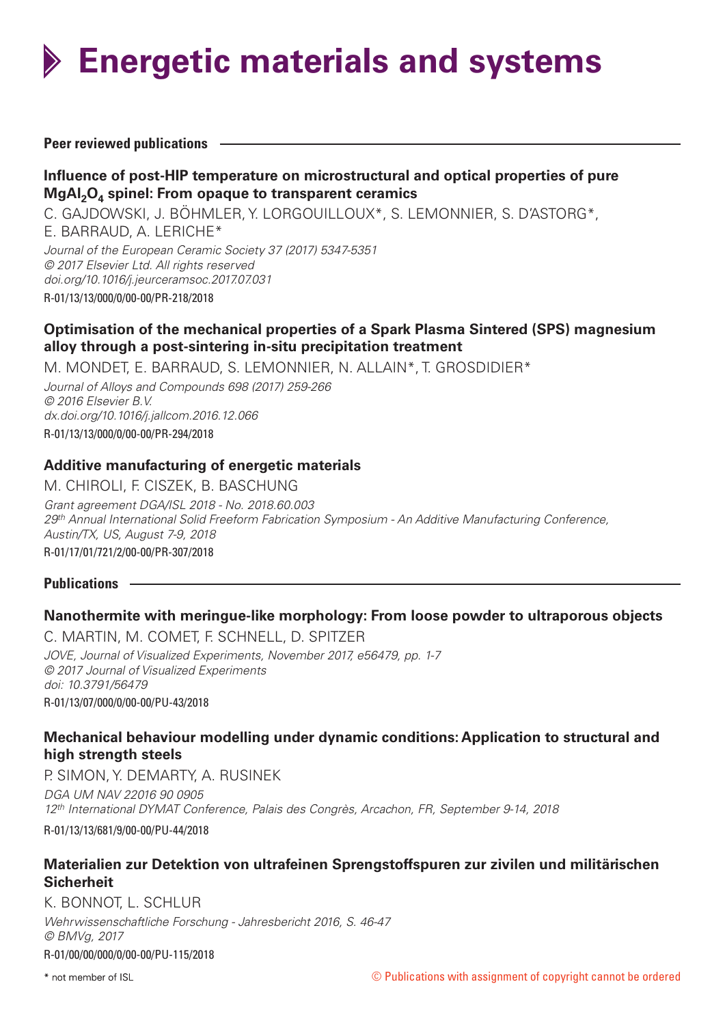

### **Peer reviewed publications**

# **Influence of post-HIP temperature on microstructural and optical properties of pure** MgAl<sub>2</sub>O<sub>4</sub> spinel: From opaque to transparent ceramics

C. GAJDOWSKI, J. BÖHMLER, Y. LORGOUILLOUX\*, S. LEMONNIER, S. D'ASTORG\*, E. BARRAUD, A. LERICHE\* *Journal of the European Ceramic Society 37 (2017) 5347-5351 © 2017 Elsevier Ltd. All rights reserved doi.org/10.1016/j.jeurceramsoc.2017.07.031*

R-01/13/13/000/0/00-00/PR-218/2018

# **Optimisation of the mechanical properties of a Spark Plasma Sintered (SPS) magnesium alloy through a post-sintering in-situ precipitation treatment**

M. MONDET, E. BARRAUD, S. LEMONNIER, N. ALLAIN\*, T. GROSDIDIER\*

*Journal of Alloys and Compounds 698 (2017) 259-266 © 2016 Elsevier B.V. dx.doi.org/10.1016/j.jallcom.2016.12.066* R-01/13/13/000/0/00-00/PR-294/2018

## **Additive manufacturing of energetic materials**

M. CHIROLI, F. CISZEK, B. BASCHUNG *Grant agreement DGA/ISL 2018 - No. 2018.60.003 29th Annual International Solid Freeform Fabrication Symposium - An Additive Manufacturing Conference, Austin/TX, US, August 7-9, 2018* R-01/17/01/721/2/00-00/PR-307/2018

### **Publications**

## **Nanothermite with meringue-like morphology: From loose powder to ultraporous objects**

C. MARTIN, M. COMET, F. SCHNELL, D. SPITZER *JOVE, Journal of Visualized Experiments, November 2017, e56479, pp. 1-7 © 2017 Journal of Visualized Experiments doi: 10.3791/56479* R-01/13/07/000/0/00-00/PU-43/2018

## **Mechanical behaviour modelling under dynamic conditions: Application to structural and high strength steels**

P. SIMON, Y. DEMARTY, A. RUSINEK *DGA UM NAV 22016 90 0905 12th International DYMAT Conference, Palais des Congrès, Arcachon, FR, September 9-14, 2018*

R-01/13/13/681/9/00-00/PU-44/2018

# **Materialien zur Detektion von ultrafeinen Sprengstoffspuren zur zivilen und militärischen Sicherheit**

K. BONNOT, L. SCHLUR

*Wehrwissenschaftliche Forschung - Jahresbericht 2016, S. 46-47 © BMVg, 2017* R-01/00/00/000/0/00-00/PU-115/2018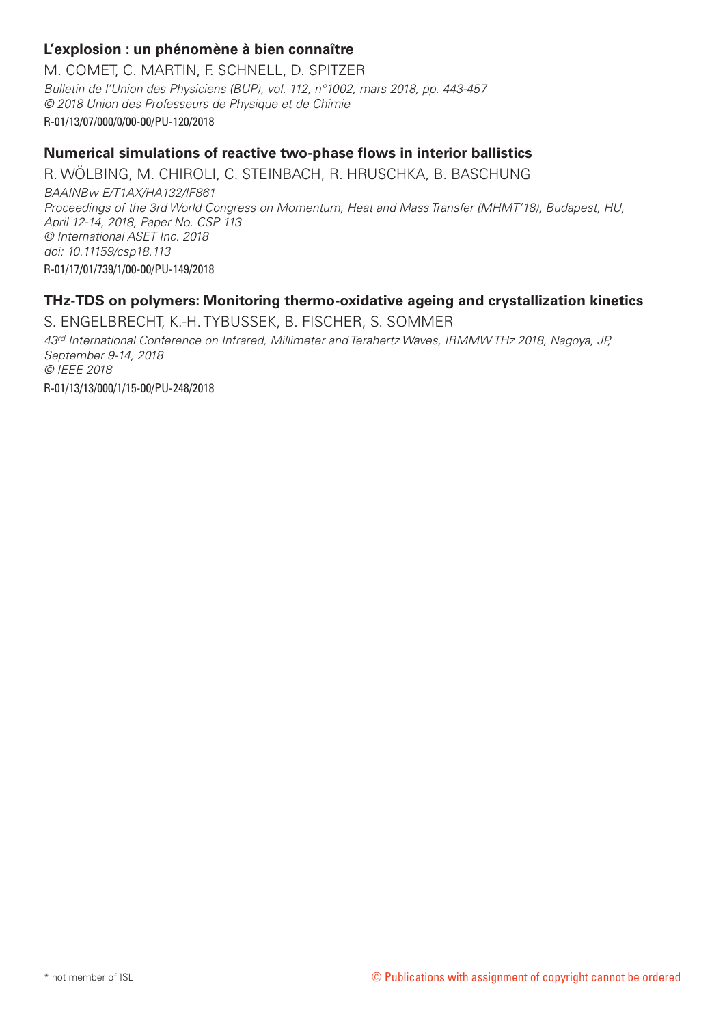# **L'explosion : un phénomène à bien connaître**

M. COMET, C. MARTIN, F. SCHNELL, D. SPITZER *Bulletin de l'Union des Physiciens (BUP), vol. 112, n°1002, mars 2018, pp. 443-457 © 2018 Union des Professeurs de Physique et de Chimie*  R-01/13/07/000/0/00-00/PU-120/2018

### **Numerical simulations of reactive two-phase flows in interior ballistics**

R. WÖLBING, M. CHIROLI, C. STEINBACH, R. HRUSCHKA, B. BASCHUNG *BAAINBw E/T1AX/HA132/IF861 Proceedings of the 3rd World Congress on Momentum, Heat and Mass Transfer (MHMT'18), Budapest, HU, April 12-14, 2018, Paper No. CSP 113 © International ASET Inc. 2018 doi: 10.11159/csp18.113* R-01/17/01/739/1/00-00/PU-149/2018

## **THz-TDS on polymers: Monitoring thermo-oxidative ageing and crystallization kinetics**

S. ENGELBRECHT, K.-H. TYBUSSEK, B. FISCHER, S. SOMMER *43rd International Conference on Infrared, Millimeter and Terahertz Waves, IRMMW THz 2018, Nagoya, JP, September 9-14, 2018 © IEEE 2018* R-01/13/13/000/1/15-00/PU-248/2018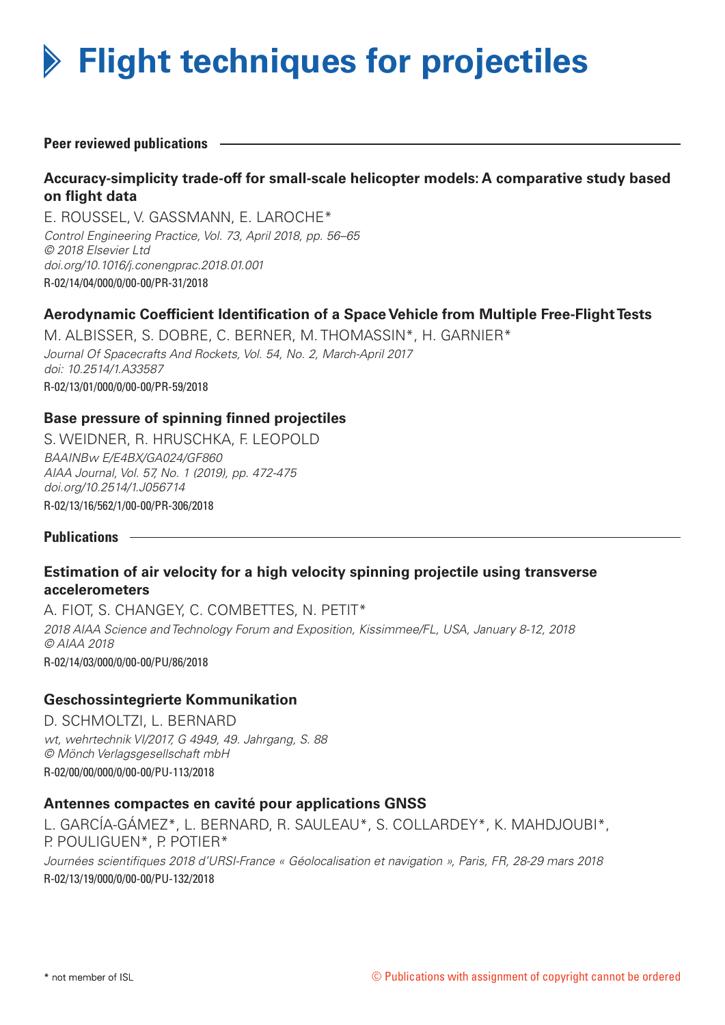# **Flight techniques for projectiles**

**Peer reviewed publications**

# **Accuracy-simplicity trade-off for small-scale helicopter models: A comparative study based on flight data**

E. ROUSSEL, V. GASSMANN, E. LAROCHE\* *Control Engineering Practice, Vol. 73, April 2018, pp. 56–65 © 2018 Elsevier Ltd doi.org/10.1016/j.conengprac.2018.01.001* R-02/14/04/000/0/00-00/PR-31/2018

# **Aerodynamic Coefficient Identification of a Space Vehicle from Multiple Free-Flight Tests**

M. ALBISSER, S. DOBRE, C. BERNER, M. THOMASSIN\*, H. GARNIER\* *Journal Of Spacecrafts And Rockets, Vol. 54, No. 2, March-April 2017 doi: 10.2514/1.A33587* R-02/13/01/000/0/00-00/PR-59/2018

## **Base pressure of spinning finned projectiles**

S. WEIDNER, R. HRUSCHKA, F. LEOPOLD *BAAINBw E/E4BX/GA024/GF860 AIAA Journal, Vol. 57, No. 1 (2019), pp. 472-475 doi.org/10.2514/1.J056714* R-02/13/16/562/1/00-00/PR-306/2018

**Publications**

## **Estimation of air velocity for a high velocity spinning projectile using transverse accelerometers**

A. FIOT, S. CHANGEY, C. COMBETTES, N. PETIT\* *2018 AIAA Science and Technology Forum and Exposition, Kissimmee/FL, USA, January 8-12, 2018 © AIAA 2018* R-02/14/03/000/0/00-00/PU/86/2018

## **Geschossintegrierte Kommunikation**

D. SCHMOLTZI, L. BERNARD *wt, wehrtechnik VI/2017, G 4949, 49. Jahrgang, S. 88 © Mönch Verlagsgesellschaft mbH* R-02/00/00/000/0/00-00/PU-113/2018

## **Antennes compactes en cavité pour applications GNSS**

L. GARCÍA-GÁMEZ\*, L. BERNARD, R. SAULEAU\*, S. COLLARDEY\*, K. MAHDJOUBI\*, P. POULIGUEN\*, P. POTIER\* *Journées scientifiques 2018 d'URSI-France « Géolocalisation et navigation », Paris, FR, 28-29 mars 2018* R-02/13/19/000/0/00-00/PU-132/2018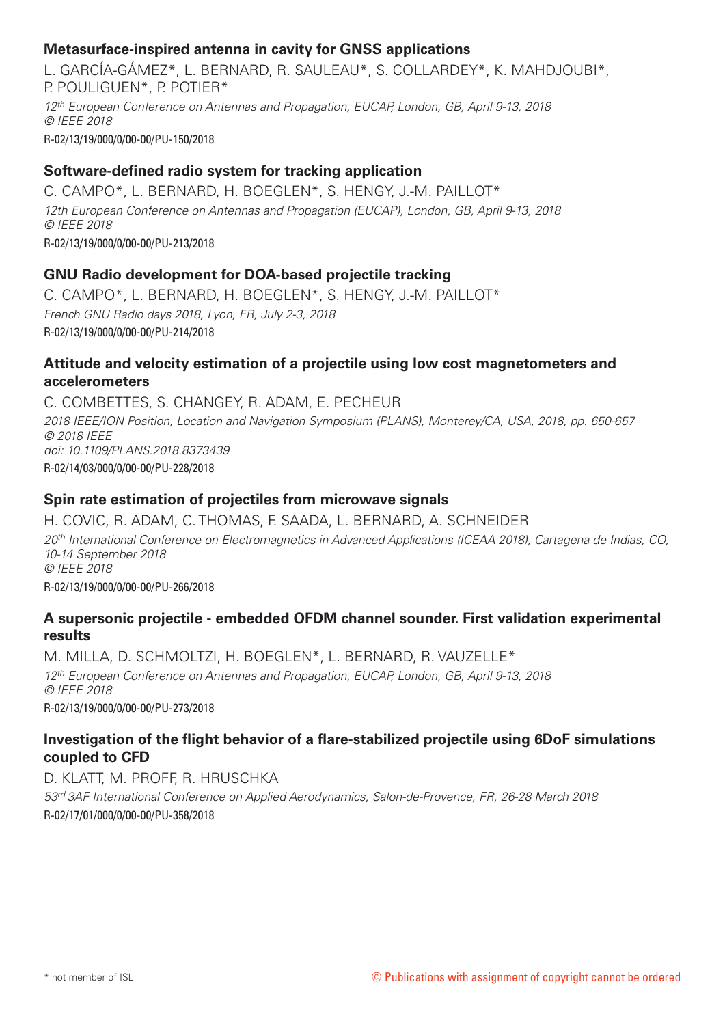# **Metasurface-inspired antenna in cavity for GNSS applications**

L. GARCÍA-GÁMEZ\*, L. BERNARD, R. SAULEAU\*, S. COLLARDEY\*, K. MAHDJOUBI\*, P. POULIGUEN\*, P. POTIER\*

*12th European Conference on Antennas and Propagation, EUCAP, London, GB, April 9-13, 2018 © IEEE 2018*

R-02/13/19/000/0/00-00/PU-150/2018

# **Software-defined radio system for tracking application**

C. CAMPO\*, L. BERNARD, H. BOEGLEN\*, S. HENGY, J.-M. PAILLOT\* *12th European Conference on Antennas and Propagation (EUCAP), London, GB, April 9-13, 2018 © IEEE 2018* R-02/13/19/000/0/00-00/PU-213/2018

# **GNU Radio development for DOA-based projectile tracking**

C. CAMPO\*, L. BERNARD, H. BOEGLEN\*, S. HENGY, J.-M. PAILLOT\* *French GNU Radio days 2018, Lyon, FR, July 2-3, 2018* R-02/13/19/000/0/00-00/PU-214/2018

## **Attitude and velocity estimation of a projectile using low cost magnetometers and accelerometers**

C. COMBETTES, S. CHANGEY, R. ADAM, E. PECHEUR *2018 IEEE/ION Position, Location and Navigation Symposium (PLANS), Monterey/CA, USA, 2018, pp. 650-657 © 2018 IEEE doi: 10.1109/PLANS.2018.8373439* R-02/14/03/000/0/00-00/PU-228/2018

# **Spin rate estimation of projectiles from microwave signals**

H. COVIC, R. ADAM, C. THOMAS, F. SAADA, L. BERNARD, A. SCHNEIDER

*20th International Conference on Electromagnetics in Advanced Applications (ICEAA 2018), Cartagena de Indias, CO, 10-14 September 2018 © IEEE 2018*

R-02/13/19/000/0/00-00/PU-266/2018

# **A supersonic projectile - embedded OFDM channel sounder. First validation experimental results**

M. MILLA, D. SCHMOLTZI, H. BOEGLEN\*, L. BERNARD, R. VAUZELLE\* *12th European Conference on Antennas and Propagation, EUCAP, London, GB, April 9-13, 2018 © IEEE 2018* R-02/13/19/000/0/00-00/PU-273/2018

# **Investigation of the flight behavior of a flare-stabilized projectile using 6DoF simulations coupled to CFD**

D. KLATT, M. PROFF, R. HRUSCHKA *53rd 3AF International Conference on Applied Aerodynamics, Salon-de-Provence, FR, 26-28 March 2018* R-02/17/01/000/0/00-00/PU-358/2018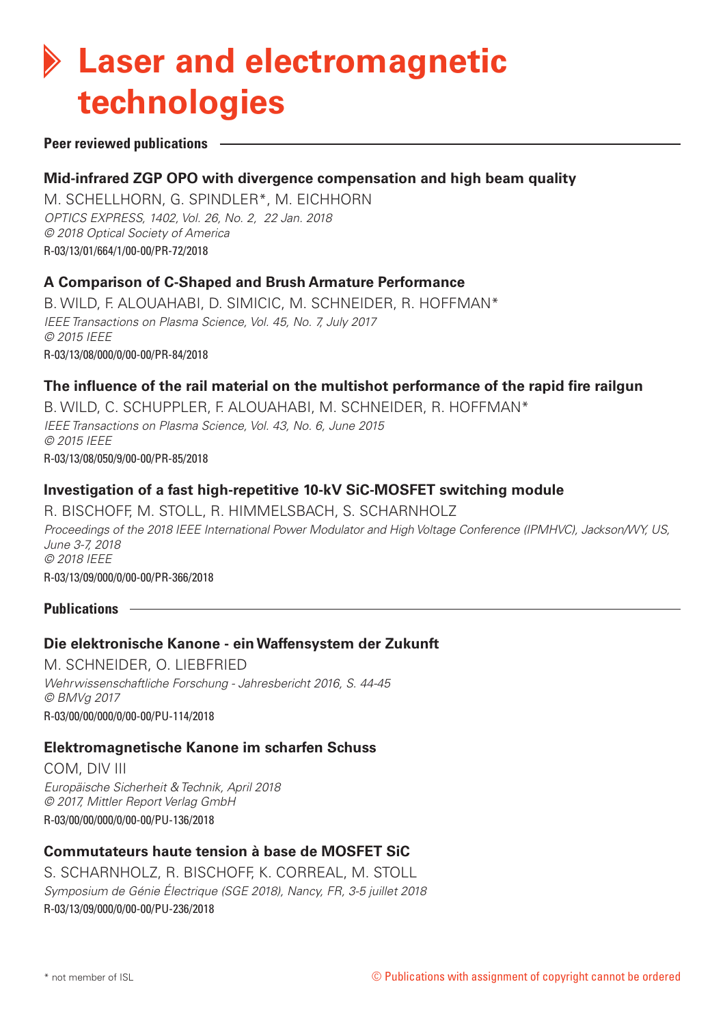# **Laser and electromagnetic technologies**

#### **Peer reviewed publications**

### **Mid-infrared ZGP OPO with divergence compensation and high beam quality**

M. SCHELLHORN, G. SPINDLER\*, M. EICHHORN *OPTICS EXPRESS, 1402, Vol. 26, No. 2, 22 Jan. 2018 © 2018 Optical Society of America* R-03/13/01/664/1/00-00/PR-72/2018

### **A Comparison of C-Shaped and Brush Armature Performance**

B. WILD, F. ALOUAHABI, D. SIMICIC, M. SCHNEIDER, R. HOFFMAN\* *IEEE Transactions on Plasma Science, Vol. 45, No. 7, July 2017 © 2015 IEEE* R-03/13/08/000/0/00-00/PR-84/2018

### **The influence of the rail material on the multishot performance of the rapid fire railgun**

B. WILD, C. SCHUPPLER, F. ALOUAHABI, M. SCHNEIDER, R. HOFFMAN\* *IEEE Transactions on Plasma Science, Vol. 43, No. 6, June 2015 © 2015 IEEE*  R-03/13/08/050/9/00-00/PR-85/2018

### **Investigation of a fast high-repetitive 10-kV SiC-MOSFET switching module**

R. BISCHOFF, M. STOLL, R. HIMMELSBACH, S. SCHARNHOLZ *Proceedings of the 2018 IEEE International Power Modulator and High Voltage Conference (IPMHVC), Jackson/WY, US, June 3-7, 2018 © 2018 IEEE* R-03/13/09/000/0/00-00/PR-366/2018

#### **Publications**

### **Die elektronische Kanone - ein Waffensystem der Zukunft**

M. SCHNEIDER, O. LIEBFRIED *Wehrwissenschaftliche Forschung - Jahresbericht 2016, S. 44-45 © BMVg 2017* R-03/00/00/000/0/00-00/PU-114/2018

### **Elektromagnetische Kanone im scharfen Schuss**

COM, DIV III *Europäische Sicherheit & Technik, April 2018 © 2017, Mittler Report Verlag GmbH* R-03/00/00/000/0/00-00/PU-136/2018

## **Commutateurs haute tension à base de MOSFET SiC**

S. SCHARNHOLZ, R. BISCHOFF, K. CORREAL, M. STOLL *Symposium de Génie Électrique (SGE 2018), Nancy, FR, 3-5 juillet 2018* R-03/13/09/000/0/00-00/PU-236/2018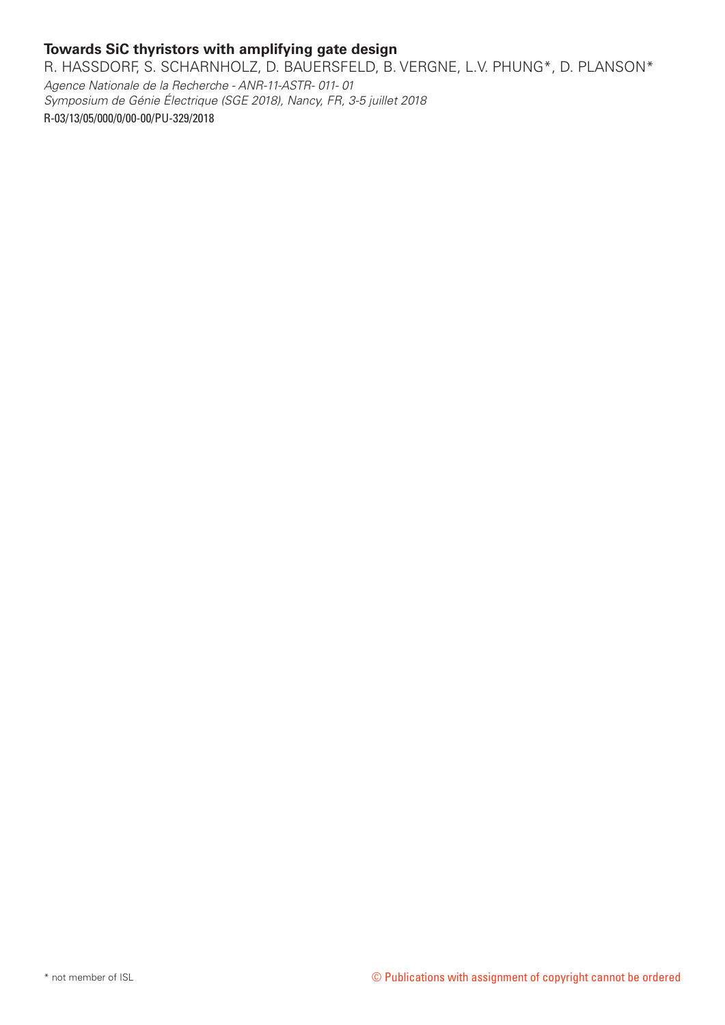# **Towards SiC thyristors with amplifying gate design**

R. HASSDORF, S. SCHARNHOLZ, D. BAUERSFELD, B. VERGNE, L.V. PHUNG\*, D. PLANSON\*

*Agence Nationale de la Recherche - ANR-11-ASTR- 011- 01 Symposium de Génie Électrique (SGE 2018), Nancy, FR, 3-5 juillet 2018* R-03/13/05/000/0/00-00/PU-329/2018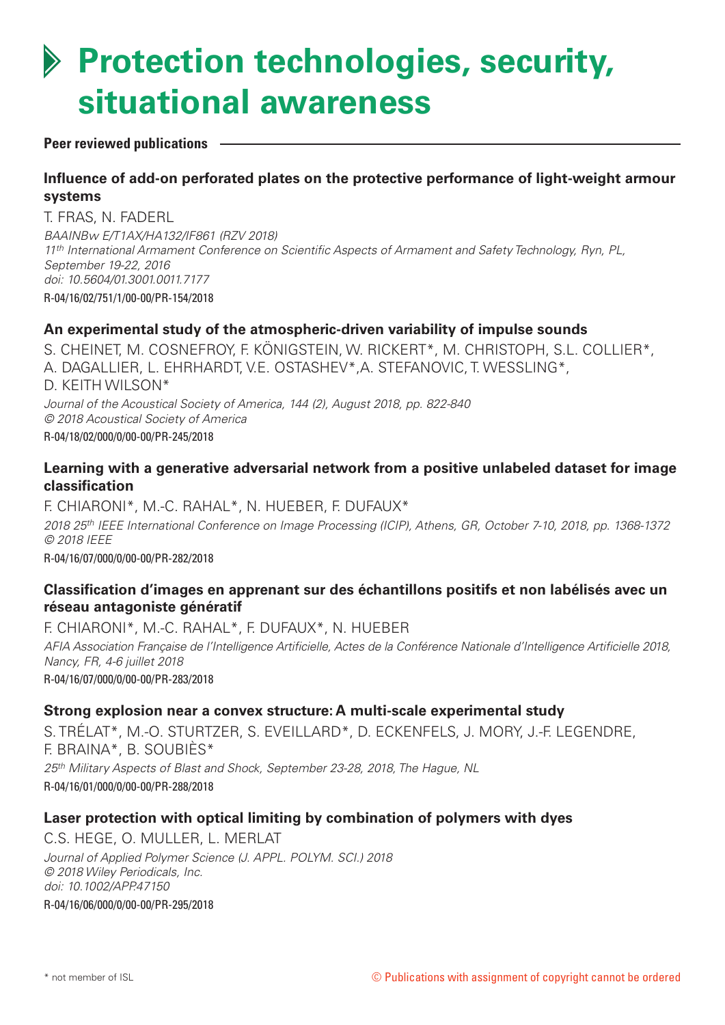# **Protection technologies, security, situational awareness**

### **Peer reviewed publications**

# **Influence of add-on perforated plates on the protective performance of light-weight armour systems**

T. FRAS, N. FADERL

*BAAINBw E/T1AX/HA132/IF861 (RZV 2018) 11th International Armament Conference on Scientific Aspects of Armament and Safety Technology, Ryn, PL, September 19-22, 2016 doi: 10.5604/01.3001.0011.7177* R-04/16/02/751/1/00-00/PR-154/2018

## **An experimental study of the atmospheric-driven variability of impulse sounds**

S. CHEINET, M. COSNEFROY, F. KÖNIGSTEIN, W. RICKERT\*, M. CHRISTOPH, S.L. COLLIER\*, A. DAGALLIER, L. EHRHARDT, V.E. OSTASHEV\*,A. STEFANOVIC, T. WESSLING\*, D. KEITH WILSON\* *Journal of the Acoustical Society of America, 144 (2), August 2018, pp. 822-840 © 2018 Acoustical Society of America* R-04/18/02/000/0/00-00/PR-245/2018

### **Learning with a generative adversarial network from a positive unlabeled dataset for image classification**

F. CHIARONI\*, M.-C. RAHAL\*, N. HUEBER, F. DUFAUX\* *2018 25th IEEE International Conference on Image Processing (ICIP), Athens, GR, October 7-10, 2018, pp. 1368-1372 © 2018 IEEE* R-04/16/07/000/0/00-00/PR-282/2018

# **Classification d'images en apprenant sur des échantillons positifs et non labélisés avec un réseau antagoniste génératif**

F. CHIARONI\*, M.-C. RAHAL\*, F. DUFAUX\*, N. HUEBER *AFIA Association Française de l'Intelligence Artificielle, Actes de la Conférence Nationale d'Intelligence Artificielle 2018, Nancy, FR, 4-6 juillet 2018* R-04/16/07/000/0/00-00/PR-283/2018

### **Strong explosion near a convex structure: A multi-scale experimental study**

S. TRÉLAT\*, M.-O. STURTZER, S. EVEILLARD\*, D. ECKENFELS, J. MORY, J.-F. LEGENDRE, F. BRAINA\*, B. SOUBIÈS\* *25th Military Aspects of Blast and Shock, September 23-28, 2018, The Hague, NL* R-04/16/01/000/0/00-00/PR-288/2018

## **Laser protection with optical limiting by combination of polymers with dyes**

C.S. HEGE, O. MULLER, L. MERLAT *Journal of Applied Polymer Science (J. APPL. POLYM. SCI.) 2018 © 2018 Wiley Periodicals, Inc. doi: 10.1002/APP.47150* R-04/16/06/000/0/00-00/PR-295/2018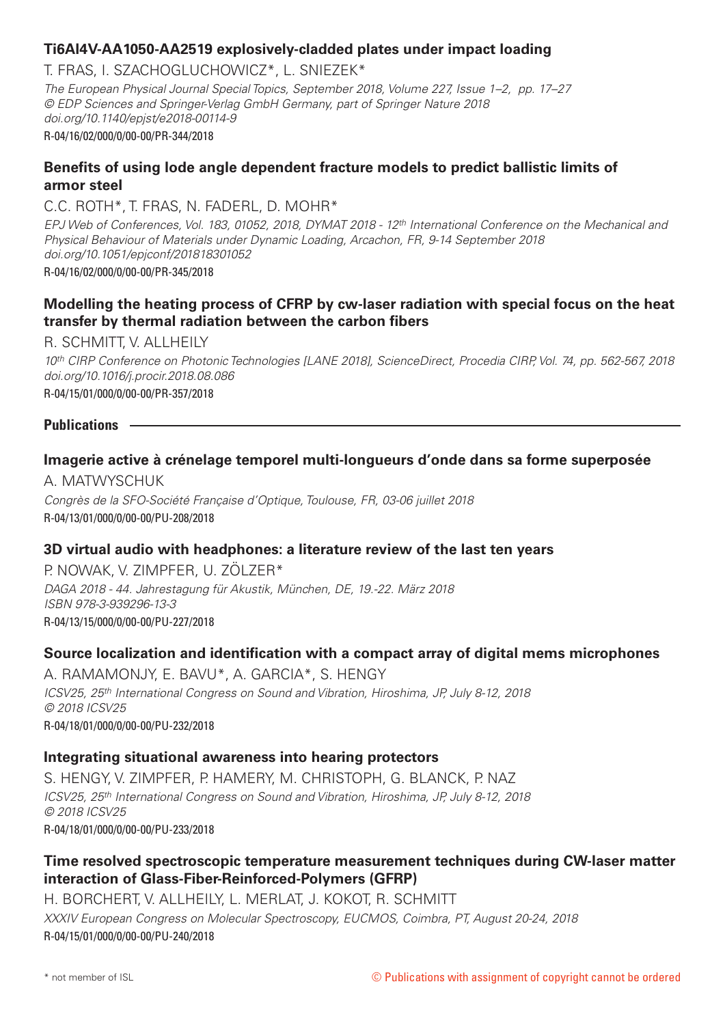## **Ti6Al4V-AA1050-AA2519 explosively-cladded plates under impact loading**

T. FRAS, I. SZACHOGLUCHOWICZ\*, L. SNIEZEK\* *The European Physical Journal Special Topics, September 2018, Volume 227, Issue 1–2, pp. 17–27 © EDP Sciences and Springer-Verlag GmbH Germany, part of Springer Nature 2018 doi.org/10.1140/epjst/e2018-00114-9* R-04/16/02/000/0/00-00/PR-344/2018

# **Benefits of using lode angle dependent fracture models to predict ballistic limits of armor steel**

C.C. ROTH\*, T. FRAS, N. FADERL, D. MOHR\*

*EPJ Web of Conferences, Vol. 183, 01052, 2018, DYMAT 2018 - 12th International Conference on the Mechanical and Physical Behaviour of Materials under Dynamic Loading, Arcachon, FR, 9-14 September 2018 doi.org/10.1051/epjconf/201818301052* R-04/16/02/000/0/00-00/PR-345/2018

# **Modelling the heating process of CFRP by cw-laser radiation with special focus on the heat transfer by thermal radiation between the carbon fibers**

R. SCHMITT, V. ALLHEILY *10th CIRP Conference on Photonic Technologies [LANE 2018], ScienceDirect, Procedia CIRP, Vol. 74, pp. 562-567, 2018 doi.org/10.1016/j.procir.2018.08.086* R-04/15/01/000/0/00-00/PR-357/2018

## **Publications**

## **Imagerie active à crénelage temporel multi-longueurs d'onde dans sa forme superposée**

A. MATWYSCHUK *Congrès de la SFO-Société Française d'Optique, Toulouse, FR, 03-06 juillet 2018* R-04/13/01/000/0/00-00/PU-208/2018

## **3D virtual audio with headphones: a literature review of the last ten years**

P. NOWAK, V. ZIMPFER, U. ZÖLZER\* *DAGA 2018 - 44. Jahrestagung für Akustik, München, DE, 19.-22. März 2018 ISBN 978-3-939296-13-3* R-04/13/15/000/0/00-00/PU-227/2018

## **Source localization and identification with a compact array of digital mems microphones**

A. RAMAMONJY, E. BAVU\*, A. GARCIA\*, S. HENGY *ICSV25, 25th International Congress on Sound and Vibration, Hiroshima, JP, July 8-12, 2018 © 2018 ICSV25* R-04/18/01/000/0/00-00/PU-232/2018

### **Integrating situational awareness into hearing protectors**

S. HENGY, V. ZIMPFER, P. HAMERY, M. CHRISTOPH, G. BLANCK, P. NAZ *ICSV25, 25th International Congress on Sound and Vibration, Hiroshima, JP, July 8-12, 2018 © 2018 ICSV25* R-04/18/01/000/0/00-00/PU-233/2018

# **Time resolved spectroscopic temperature measurement techniques during CW-laser matter interaction of Glass-Fiber-Reinforced-Polymers (GFRP)**

H. BORCHERT, V. ALLHEILY, L. MERLAT, J. KOKOT, R. SCHMITT *XXXIV European Congress on Molecular Spectroscopy, EUCMOS, Coimbra, PT, August 20-24, 2018* R-04/15/01/000/0/00-00/PU-240/2018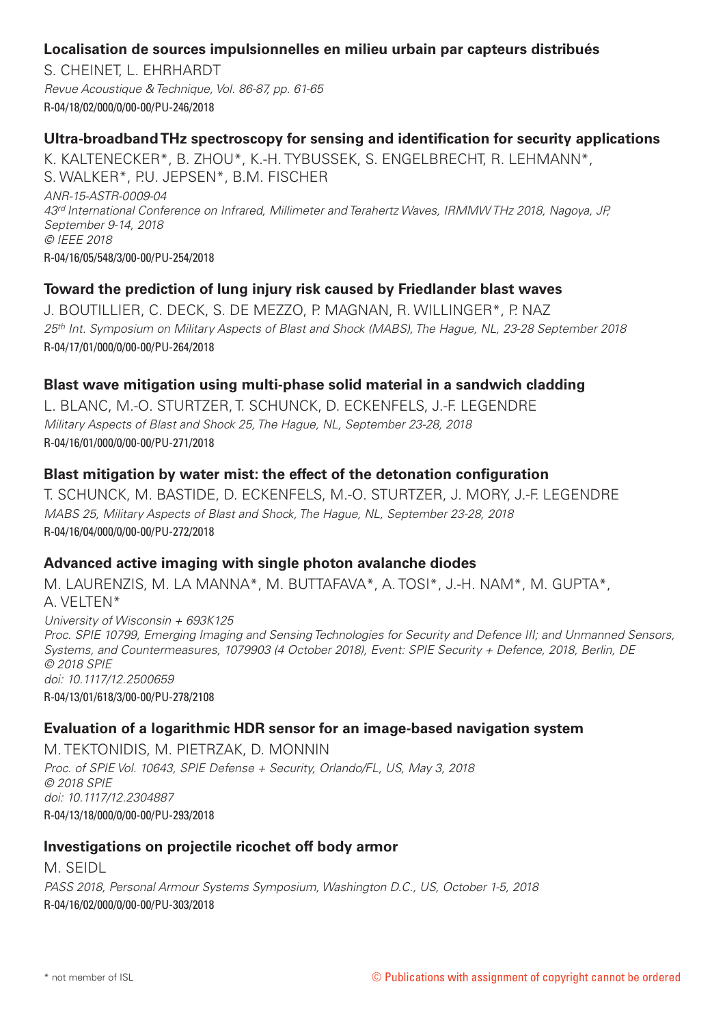## **Localisation de sources impulsionnelles en milieu urbain par capteurs distribués**

S. CHEINET, L. EHRHARDT *Revue Acoustique & Technique, Vol. 86-87, pp. 61-65* R-04/18/02/000/0/00-00/PU-246/2018

## **Ultra-broadband THz spectroscopy for sensing and identification for security applications**

K. KALTENECKER\*, B. ZHOU\*, K.-H. TYBUSSEK, S. ENGELBRECHT, R. LEHMANN\*, S. WALKER\*, P.U. JEPSEN\*, B.M. FISCHER *ANR-15-ASTR-0009-04 43rd International Conference on Infrared, Millimeter and Terahertz Waves, IRMMW THz 2018, Nagoya, JP, September 9-14, 2018 © IEEE 2018* R-04/16/05/548/3/00-00/PU-254/2018

# **Toward the prediction of lung injury risk caused by Friedlander blast waves**

J. BOUTILLIER, C. DECK, S. DE MEZZO, P. MAGNAN, R. WILLINGER\*, P. NAZ *25th Int. Symposium on Military Aspects of Blast and Shock (MABS), The Hague, NL, 23-28 September 2018* R-04/17/01/000/0/00-00/PU-264/2018

## **Blast wave mitigation using multi-phase solid material in a sandwich cladding**

L. BLANC, M.-O. STURTZER, T. SCHUNCK, D. ECKENFELS, J.-F. LEGENDRE *Military Aspects of Blast and Shock 25, The Hague, NL, September 23-28, 2018* R-04/16/01/000/0/00-00/PU-271/2018

# **Blast mitigation by water mist: the effect of the detonation configuration**

T. SCHUNCK, M. BASTIDE, D. ECKENFELS, M.-O. STURTZER, J. MORY, J.-F. LEGENDRE *MABS 25, Military Aspects of Blast and Shock, The Hague, NL, September 23-28, 2018* R-04/16/04/000/0/00-00/PU-272/2018

# **Advanced active imaging with single photon avalanche diodes**

M. LAURENZIS, M. LA MANNA\*, M. BUTTAFAVA\*, A. TOSI\*, J.-H. NAM\*, M. GUPTA\*, A. VELTEN\*

*University of Wisconsin + 693K125 Proc. SPIE 10799, Emerging Imaging and Sensing Technologies for Security and Defence III; and Unmanned Sensors, Systems, and Countermeasures, 1079903 (4 October 2018), Event: SPIE Security + Defence, 2018, Berlin, DE © 2018 SPIE doi: 10.1117/12.2500659* R-04/13/01/618/3/00-00/PU-278/2108

## **Evaluation of a logarithmic HDR sensor for an image-based navigation system**

M. TEKTONIDIS, M. PIETRZAK, D. MONNIN *Proc. of SPIE Vol. 10643, SPIE Defense + Security, Orlando/FL, US, May 3, 2018 © 2018 SPIE doi: 10.1117/12.2304887* R-04/13/18/000/0/00-00/PU-293/2018

## **Investigations on projectile ricochet off body armor**

M. SEIDL *PASS 2018, Personal Armour Systems Symposium, Washington D.C., US, October 1-5, 2018* R-04/16/02/000/0/00-00/PU-303/2018